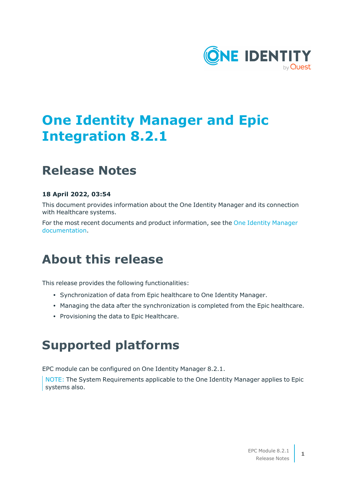

# **One Identity Manager and Epic Integration 8.2.1**

### **Release Notes**

#### **18 April 2022, 03:54**

This document provides information about the One Identity Manager and its connection with Healthcare systems.

For the most recent documents and product information, see the One Identity [Manager](https://support.oneidentity.com/identity-manager/8.1.5/technical-documents) [documentation](https://support.oneidentity.com/identity-manager/8.1.5/technical-documents).

### **About this release**

This release provides the following functionalities:

- Synchronization of data from Epic healthcare to One Identity Manager.
- Managing the data after the synchronization is completed from the Epic healthcare.
- Provisioning the data to Epic Healthcare.

## **Supported platforms**

EPC module can be configured on One Identity Manager 8.2.1.

NOTE: The System Requirements applicable to the One Identity Manager applies to Epic systems also.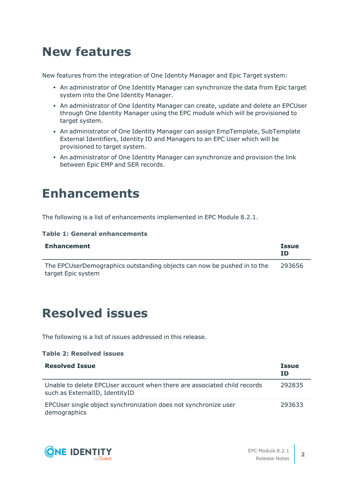## **New features**

New features from the integration of One Identity Manager and Epic Target system:

- An administrator of One Identity Manager can synchronize the data from Epic target system into the One Identity Manager.
- An administrator of One Identity Manager can create, update and delete an EPCUser through One Identity Manager using the EPC module which will be provisioned to target system.
- An administrator of One Identity Manager can assign EmpTemplate, SubTemplate External Identifiers, Identity ID and Managers to an EPC User which will be provisioned to target system.
- An administrator of One Identity Manager can synchronize and provision the link between Epic EMP and SER records.

### **Enhancements**

The following is a list of enhancements implemented in EPC Module 8.2.1.

#### **Table 1: General enhancements**

| <b>Enhancement</b>                                                                            | <b>Issue</b><br>ΙD |
|-----------------------------------------------------------------------------------------------|--------------------|
| The EPCUserDemographics outstanding objects can now be pushed in to the<br>target Epic system | 293656             |

### **Resolved issues**

The following is a list of issues addressed in this release.

#### **Table 2: Resolved issues**

| <b>Resolved Issue</b>                                                                                      | <b>Issue</b><br><b>ID</b> |
|------------------------------------------------------------------------------------------------------------|---------------------------|
| Unable to delete EPCUser account when there are associated child records<br>such as ExternalID, IdentityID | 292835                    |
| EPCUser single object synchronization does not synchronize user<br>demographics                            | 293633                    |

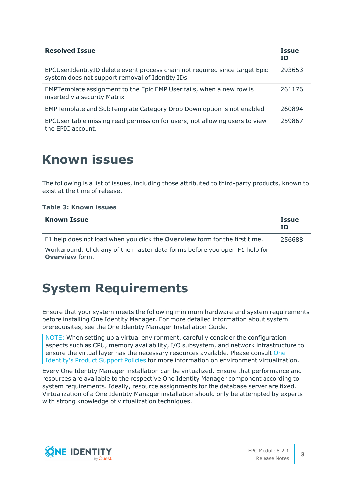| <b>Resolved Issue</b>                                                                                                          | <b>Issue</b><br>ΙD |
|--------------------------------------------------------------------------------------------------------------------------------|--------------------|
| EPCUserIdentityID delete event process chain not required since target Epic<br>system does not support removal of Identity IDs | 293653             |
| EMPTemplate assignment to the Epic EMP User fails, when a new row is<br>inserted via security Matrix                           | 261176             |
| EMPTemplate and SubTemplate Category Drop Down option is not enabled                                                           | 260894             |
| EPCUser table missing read permission for users, not allowing users to view<br>the EPIC account.                               | 259867             |

### **Known issues**

The following is a list of issues, including those attributed to third-party products, known to exist at the time of release.

#### **Table 3: Known issues**

| <b>Known Issue</b>                                                                                  | <b>Issue</b><br>ΙD |
|-----------------------------------------------------------------------------------------------------|--------------------|
| F1 help does not load when you click the <b>Overview</b> form for the first time.                   | 256688             |
| Workaround: Click any of the master data forms before you open F1 help for<br><b>Overview form.</b> |                    |

### **System Requirements**

Ensure that your system meets the following minimum hardware and system requirements before installing One Identity Manager. For more detailed information about system prerequisites, see the One Identity Manager Installation Guide.

NOTE: When setting up a virtual environment, carefully consider the configuration aspects such as CPU, memory availability, I/O subsystem, and network infrastructure to ensure the virtual layer has the necessary resources available. Please consult [One](https://support.oneidentity.com/essentials/support-guide#tab3) [Identity's](https://support.oneidentity.com/essentials/support-guide#tab3) Product Support Policies for more information on environment virtualization.

Every One Identity Manager installation can be virtualized. Ensure that performance and resources are available to the respective One Identity Manager component according to system requirements. Ideally, resource assignments for the database server are fixed. Virtualization of a One Identity Manager installation should only be attempted by experts with strong knowledge of virtualization techniques.

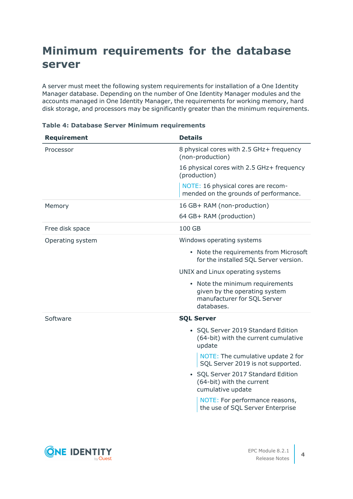### **Minimum requirements for the database server**

A server must meet the following system requirements for installation of a One Identity Manager database. Depending on the number of One Identity Manager modules and the accounts managed in One Identity Manager, the requirements for working memory, hard disk storage, and processors may be significantly greater than the minimum requirements.

| <b>Requirement</b> | <b>Details</b>                                                                                                |
|--------------------|---------------------------------------------------------------------------------------------------------------|
| Processor          | 8 physical cores with 2.5 GHz+ frequency<br>(non-production)                                                  |
|                    | 16 physical cores with 2.5 GHz+ frequency<br>(production)                                                     |
|                    | NOTE: 16 physical cores are recom-<br>mended on the grounds of performance.                                   |
| Memory             | 16 GB+ RAM (non-production)                                                                                   |
|                    | 64 GB+ RAM (production)                                                                                       |
| Free disk space    | 100 GB                                                                                                        |
| Operating system   | Windows operating systems                                                                                     |
|                    | • Note the requirements from Microsoft<br>for the installed SQL Server version.                               |
|                    | UNIX and Linux operating systems                                                                              |
|                    | • Note the minimum requirements<br>given by the operating system<br>manufacturer for SQL Server<br>databases. |
| Software           | <b>SQL Server</b>                                                                                             |
|                    | • SQL Server 2019 Standard Edition<br>(64-bit) with the current cumulative<br>update                          |
|                    | NOTE: The cumulative update 2 for<br>SQL Server 2019 is not supported.                                        |
|                    | • SQL Server 2017 Standard Edition<br>(64-bit) with the current<br>cumulative update                          |
|                    | NOTE: For performance reasons,<br>the use of SQL Server Enterprise                                            |

#### **Table 4: Database Server Minimum requirements**

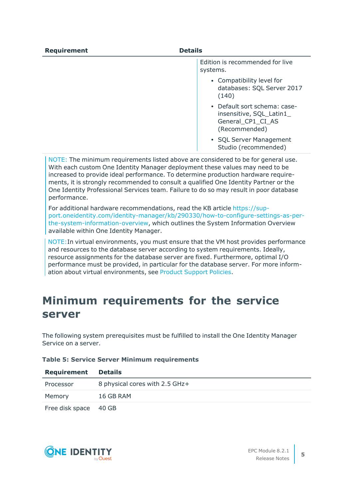| <b>Requirement</b> | <b>Details</b>                                                                                      |
|--------------------|-----------------------------------------------------------------------------------------------------|
|                    | Edition is recommended for live<br>systems.                                                         |
|                    | • Compatibility level for<br>databases: SQL Server 2017<br>(140)                                    |
|                    | • Default sort schema: case-<br>insensitive, SQL_Latin1_<br>General_CP1_CI_AS<br>(Recommended)      |
|                    | $CQ$ $CQ$ $CQ$ $CQ$ $CQ$ $CQ$ $CQ$ $CQ$ $CQ$ $CQ$ $CQ$ $CQ$ $CQ$ $CQ$ $CQ$ $CQ$ $CQ$ $CQ$ $CQ$ $CQ$ |

• SOL Server Management Studio (recommended)

NOTE: The minimum requirements listed above are considered to be for general use. With each custom One Identity Manager deployment these values may need to be increased to provide ideal performance. To determine production hardware requirements, it is strongly recommended to consult a qualified One Identity Partner or the One Identity Professional Services team. Failure to do so may result in poor database performance.

For additional hardware recommendations, read the KB article [https://sup](https://sup-port.oneidentity.com/identity-manager/kb/290330/how-to-configure-settings-as-per-the-system-information-overview)[port.oneidentity.com/identity-manager/kb/290330/how-to-configure-settings-as-per](https://sup-port.oneidentity.com/identity-manager/kb/290330/how-to-configure-settings-as-per-the-system-information-overview)[the-system-information-overview](https://sup-port.oneidentity.com/identity-manager/kb/290330/how-to-configure-settings-as-per-the-system-information-overview), which outlines the System Information Overview available within One Identity Manager.

NOTE:In virtual environments, you must ensure that the VM host provides performance and resources to the database server according to system requirements. Ideally, resource assignments for the database server are fixed. Furthermore, optimal I/O performance must be provided, in particular for the database server. For more information about virtual environments, see Product [Support](https://support.oneidentity.com/essentials/support-guide) Policies.

### **Minimum requirements for the service server**

The following system prerequisites must be fulfilled to install the One Identity Manager Service on a server.

#### **Table 5: Service Server Minimum requirements**

| Requirement           | <b>Details</b>                 |
|-----------------------|--------------------------------|
| Processor             | 8 physical cores with 2.5 GHz+ |
| Memory                | 16 GB RAM                      |
| Free disk space 40 GB |                                |

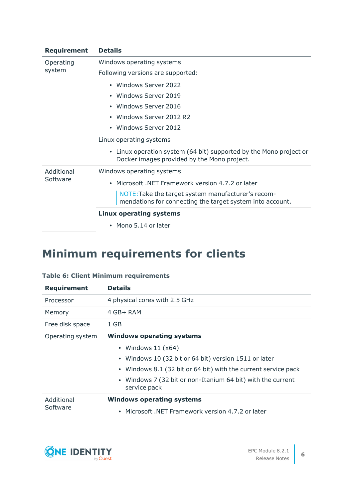| <b>Requirement</b>     | <b>Details</b>                                                                                                    |  |  |  |
|------------------------|-------------------------------------------------------------------------------------------------------------------|--|--|--|
| Operating<br>system    | Windows operating systems                                                                                         |  |  |  |
|                        | Following versions are supported:                                                                                 |  |  |  |
|                        | • Windows Server 2022                                                                                             |  |  |  |
|                        | • Windows Server 2019                                                                                             |  |  |  |
|                        | • Windows Server 2016                                                                                             |  |  |  |
|                        | • Windows Server 2012 R2                                                                                          |  |  |  |
|                        | • Windows Server 2012                                                                                             |  |  |  |
|                        | Linux operating systems                                                                                           |  |  |  |
|                        | • Linux operation system (64 bit) supported by the Mono project or<br>Docker images provided by the Mono project. |  |  |  |
| Additional<br>Software | Windows operating systems                                                                                         |  |  |  |
|                        | • Microsoft .NET Framework version 4.7.2 or later                                                                 |  |  |  |
|                        | NOTE: Take the target system manufacturer's recom-<br>mendations for connecting the target system into account.   |  |  |  |
|                        | <b>Linux operating systems</b>                                                                                    |  |  |  |
|                        | • Mono 5.14 or later                                                                                              |  |  |  |

## **Minimum requirements for clients**

#### **Table 6: Client Minimum requirements**

| <b>Requirement</b>     | <b>Details</b>                                                                                                                                                                                                                                                     |  |  |
|------------------------|--------------------------------------------------------------------------------------------------------------------------------------------------------------------------------------------------------------------------------------------------------------------|--|--|
| Processor              | 4 physical cores with 2.5 GHz                                                                                                                                                                                                                                      |  |  |
| Memory                 | $4$ GB+ RAM                                                                                                                                                                                                                                                        |  |  |
| Free disk space        | 1 GB                                                                                                                                                                                                                                                               |  |  |
| Operating system       | <b>Windows operating systems</b><br>• Windows $11 (x64)$<br>• Windows 10 (32 bit or 64 bit) version 1511 or later<br>• Windows 8.1 (32 bit or 64 bit) with the current service pack<br>• Windows 7 (32 bit or non-Itanium 64 bit) with the current<br>service pack |  |  |
| Additional<br>Software | <b>Windows operating systems</b><br>Microsoft, NET Framework version 4.7.2 or later<br>$\bullet$                                                                                                                                                                   |  |  |

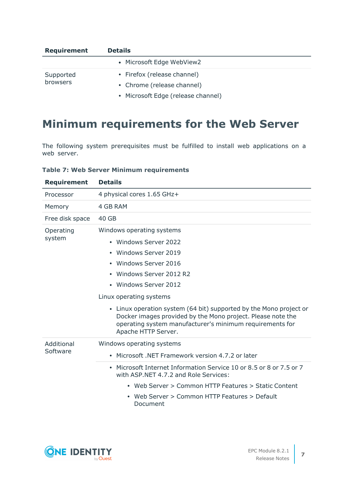| <b>Requirement</b> | <b>Details</b>                     |  |  |  |
|--------------------|------------------------------------|--|--|--|
|                    | • Microsoft Edge WebView2          |  |  |  |
| Supported          | • Firefox (release channel)        |  |  |  |
| browsers           | • Chrome (release channel)         |  |  |  |
|                    | • Microsoft Edge (release channel) |  |  |  |

### **Minimum requirements for the Web Server**

The following system prerequisites must be fulfilled to install web applications on a web server.

|  |  | <b>Table 7: Web Server Minimum requirements</b> |
|--|--|-------------------------------------------------|
|  |  |                                                 |

| <b>Requirement</b> | <b>Details</b>                                                                                                                                                                                                       |  |  |
|--------------------|----------------------------------------------------------------------------------------------------------------------------------------------------------------------------------------------------------------------|--|--|
| Processor          | 4 physical cores 1.65 GHz+                                                                                                                                                                                           |  |  |
| Memory             | 4 GB RAM                                                                                                                                                                                                             |  |  |
| Free disk space    | 40 GB                                                                                                                                                                                                                |  |  |
| Operating          | Windows operating systems                                                                                                                                                                                            |  |  |
| system             | • Windows Server 2022                                                                                                                                                                                                |  |  |
|                    | • Windows Server 2019                                                                                                                                                                                                |  |  |
|                    | • Windows Server 2016                                                                                                                                                                                                |  |  |
|                    | • Windows Server 2012 R2                                                                                                                                                                                             |  |  |
|                    | • Windows Server 2012                                                                                                                                                                                                |  |  |
|                    | Linux operating systems                                                                                                                                                                                              |  |  |
|                    | • Linux operation system (64 bit) supported by the Mono project or<br>Docker images provided by the Mono project. Please note the<br>operating system manufacturer's minimum requirements for<br>Apache HTTP Server. |  |  |
| Additional         | Windows operating systems                                                                                                                                                                                            |  |  |
| Software           | Microsoft, NET Framework version 4.7.2 or later                                                                                                                                                                      |  |  |
|                    | Microsoft Internet Information Service 10 or 8.5 or 8 or 7.5 or 7<br>$\bullet$<br>with ASP.NET 4.7.2 and Role Services:                                                                                              |  |  |
|                    | • Web Server > Common HTTP Features > Static Content                                                                                                                                                                 |  |  |
|                    | Web Server > Common HTTP Features > Default<br>Document                                                                                                                                                              |  |  |

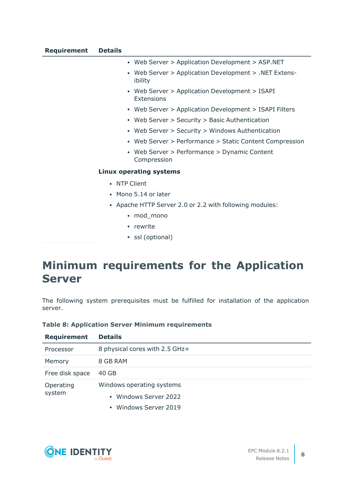- Web Server > Application Development > ASP.NET
- Web Server > Application Development > .NET Extensibility
- Web Server > Application Development > ISAPI Extensions
- Web Server > Application Development > ISAPI Filters
- Web Server > Security > Basic Authentication
- Web Server > Security > Windows Authentication
- Web Server > Performance > Static Content Compression
- Web Server > Performance > Dynamic Content Compression

#### **Linux operating systems**

- NTP Client
- Mono 5.14 or later
- Apache HTTP Server 2.0 or 2.2 with following modules:
	- mod mono
	- rewrite
	- ssl (optional)

### **Minimum requirements for the Application Server**

The following system prerequisites must be fulfilled for installation of the application server.

#### **Table 8: Application Server Minimum requirements**

| <b>Requirement</b>  | <b>Details</b>                 |
|---------------------|--------------------------------|
| Processor           | 8 physical cores with 2.5 GHz+ |
| Memory              | 8 GB RAM                       |
| Free disk space     | 40 GB                          |
| Operating<br>system | Windows operating systems      |
|                     | • Windows Server 2022          |
|                     |                                |



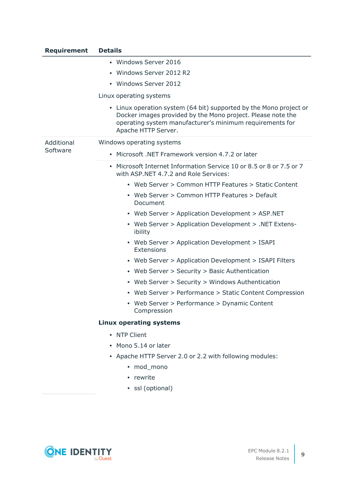| <b>Requirement</b>     | <b>Details</b>                                                                                                                                                                                                       |
|------------------------|----------------------------------------------------------------------------------------------------------------------------------------------------------------------------------------------------------------------|
|                        | • Windows Server 2016                                                                                                                                                                                                |
|                        | Windows Server 2012 R2<br>$\bullet$                                                                                                                                                                                  |
|                        | • Windows Server 2012                                                                                                                                                                                                |
|                        | Linux operating systems                                                                                                                                                                                              |
|                        | • Linux operation system (64 bit) supported by the Mono project or<br>Docker images provided by the Mono project. Please note the<br>operating system manufacturer's minimum requirements for<br>Apache HTTP Server. |
| Additional<br>Software | Windows operating systems                                                                                                                                                                                            |
|                        | Microsoft .NET Framework version 4.7.2 or later<br>$\bullet$                                                                                                                                                         |
|                        | Microsoft Internet Information Service 10 or 8.5 or 8 or 7.5 or 7<br>٠<br>with ASP.NET 4.7.2 and Role Services:                                                                                                      |
|                        | • Web Server > Common HTTP Features > Static Content                                                                                                                                                                 |
|                        | • Web Server > Common HTTP Features > Default<br>Document                                                                                                                                                            |
|                        | • Web Server > Application Development > ASP.NET                                                                                                                                                                     |
|                        | • Web Server > Application Development > .NET Extens-<br>ibility                                                                                                                                                     |
|                        | • Web Server > Application Development > ISAPI<br>Extensions                                                                                                                                                         |
|                        | • Web Server > Application Development > ISAPI Filters                                                                                                                                                               |
|                        | • Web Server > Security > Basic Authentication                                                                                                                                                                       |
|                        | • Web Server > Security > Windows Authentication                                                                                                                                                                     |
|                        | Web Server > Performance > Static Content Compression<br>$\bullet$                                                                                                                                                   |
|                        | • Web Server > Performance > Dynamic Content<br>Compression                                                                                                                                                          |
|                        | <b>Linux operating systems</b>                                                                                                                                                                                       |
|                        | • NTP Client                                                                                                                                                                                                         |
|                        | Mono 5.14 or later<br>$\bullet$                                                                                                                                                                                      |
|                        | • Apache HTTP Server 2.0 or 2.2 with following modules:                                                                                                                                                              |
|                        | • mod_mono                                                                                                                                                                                                           |
|                        | • rewrite                                                                                                                                                                                                            |
|                        | · ssl (optional)                                                                                                                                                                                                     |